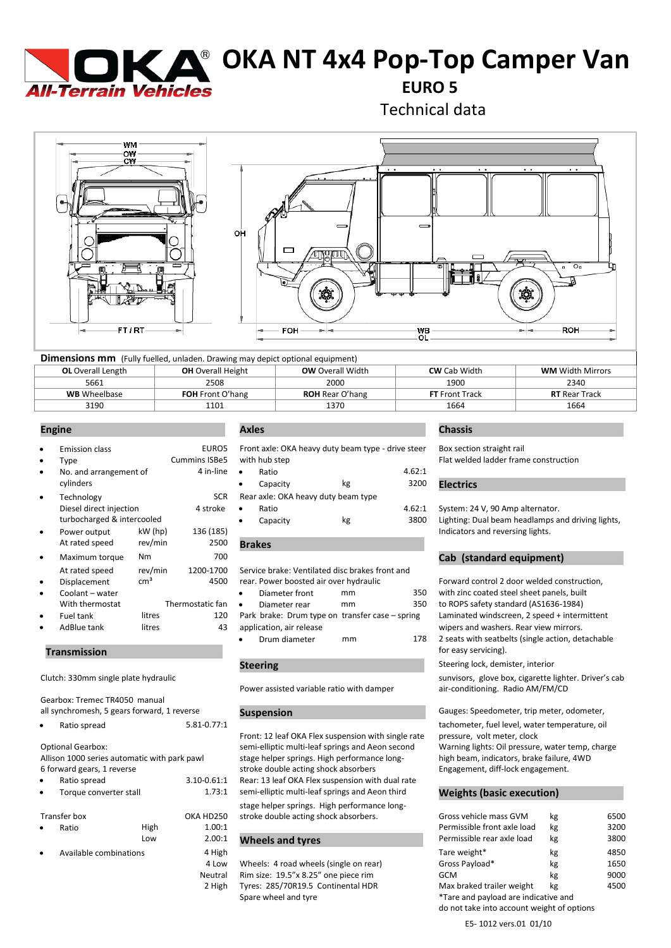

# **K A<sup>®</sup> OKA NT 4x4 Pop-Top Camper Van**

**EURO 5**

Technical data



| <b>Dimensions mm</b> (Fully fuelled, unladen. Drawing may depict optional equipment) |                          |                         |                       |                         |  |  |
|--------------------------------------------------------------------------------------|--------------------------|-------------------------|-----------------------|-------------------------|--|--|
| <b>OL</b> Overall Length                                                             | <b>OH</b> Overall Height | <b>OW</b> Overall Width | <b>CW</b> Cab Width   | <b>WM</b> Width Mirrors |  |  |
| 5661                                                                                 | 2508                     | 2000                    | 1900                  | 2340                    |  |  |
| <b>WB</b> Wheelbase                                                                  | <b>FOH</b> Front O'hang  | <b>ROH</b> Rear O'hang  | <b>FT</b> Front Track | <b>RT</b> Rear Track    |  |  |
| 3190                                                                                 | 1101                     | 1370                    | 1664                  | 1664                    |  |  |

| $\bullet$ | <b>Emission class</b>      |                 | <b>EUROS</b>         | Front axle: OKA heavy duty beam type - drive stee |    |       |
|-----------|----------------------------|-----------------|----------------------|---------------------------------------------------|----|-------|
| $\bullet$ | Type                       |                 | <b>Cummins ISBe5</b> | with hub step                                     |    |       |
| $\bullet$ | No. and arrangement of     |                 | 4 in-line            | Ratio<br>$\bullet$                                |    | 4.62: |
|           | cylinders                  |                 |                      | Capacity<br>$\bullet$                             | kg | 3200  |
| $\bullet$ | Technology                 |                 | <b>SCR</b>           | Rear axle: OKA heavy duty beam type               |    |       |
|           | Diesel direct injection    |                 | 4 stroke             | Ratio<br>$\bullet$                                |    | 4.62: |
|           | turbocharged & intercooled |                 |                      | Capacity<br>$\bullet$                             | kg | 3800  |
| $\bullet$ | Power output               | $kW$ (hp)       | 136 (185)            |                                                   |    |       |
|           | At rated speed             | rev/min         | 2500                 | <b>Brakes</b>                                     |    |       |
| $\bullet$ | Maximum torque             | N <sub>m</sub>  | 700                  |                                                   |    |       |
|           | At rated speed             | rev/min         | 1200-1700            | Service brake: Ventilated disc brakes front and   |    |       |
| $\bullet$ | Displacement               | cm <sup>3</sup> | 4500                 | rear. Power boosted air over hydraulic            |    |       |
| $\bullet$ | Coolant - water            |                 |                      | Diameter front<br>٠                               | mm | 350   |
|           | With thermostat            |                 | Thermostatic fan     | Diameter rear<br>$\bullet$                        | mm | 350   |
| $\bullet$ | Fuel tank                  | litres          | 120                  | Park brake: Drum type on transfer case - spring   |    |       |
|           | AdBlue tank                | litres          | 43                   | application, air release                          |    |       |

### **Transmission** .

Gearbox: Tremec TR4050 manual

| ٠ | Ratio spread | 5.81-0.77:1 |
|---|--------------|-------------|
|   |              |             |

Optional Gearbox: Allison 1000 series automatic with park pawl 6 forward gears, 1 reverse

| $\bullet$ | Ratio spread           | $3.10 - 0.61$ |
|-----------|------------------------|---------------|
| $\bullet$ | Torque converter stall | 1.73:         |
|           |                        |               |

| Transfer box           |      | OKA HD25 |
|------------------------|------|----------|
| Ratio                  | High | 1.00:    |
|                        | Low  | 2.00:    |
| Available combinations |      | 4 Higl   |

| EURO5               | Front axle: OKA heavy duty beam type - drive steer |          |                                     |        | Box section straight rail                         |  |  |
|---------------------|----------------------------------------------------|----------|-------------------------------------|--------|---------------------------------------------------|--|--|
| ns ISBe5            | with hub step                                      |          |                                     |        | Flat welded ladder frame construction             |  |  |
| 4 in-line $\bullet$ | Ratio                                              |          |                                     | 4.62:1 |                                                   |  |  |
|                     | ٠                                                  | Capacity | kg                                  | 3200   | <b>Electrics</b>                                  |  |  |
| <b>SCR</b>          |                                                    |          | Rear axle: OKA heavy duty beam type |        |                                                   |  |  |
| 1 stroke            | $\bullet$                                          | Ratio    |                                     | 4.62:1 | System: 24 V, 90 Amp alternator.                  |  |  |
|                     |                                                    | Capacity | kg                                  | 3800   | Lighting: Dual beam headlamps and driving lights, |  |  |

Service brake: Ventilated disc brakes front and rear. Power boosted air over hydraulic Forward control 2 door welded construction,

| ۰ | Diameter rear                                   | mm | 350 |
|---|-------------------------------------------------|----|-----|
|   | Park brake: Drum type on transfer case - spring |    |     |
|   | application, air release                        |    |     |
|   | Drum diameter                                   | mm | 178 |

### **Steering .**

Power assisted variable ratio with damper

Front: 12 leaf OKA Flex suspension with single rate pressure, volt meter, clock semi-elliptic multi-leaf springs and Aeon second Warning lights: Oil pressure, water temp, charge stage helper springs. High performance long-<br>stroke double acting shock absorbers<br>Engagement, diff-lock engagement. stroke double acting shock absorbers 1 Rear: 13 leaf OKA Flex suspension with dual rate :1 semi-elliptic multi-leaf springs and Aeon third **Weights (basic execution)** 

stage helper springs. High performance long-The stroke double acting shock absorbers.

# $1^1$  Wheels and tyres

# **Engine . Axles . Chassis .**

Box section straight rail

System: 24 V, 90 Amp alternator. Lighting: Dual beam headlamps and driving lights, Indicators and reversing lights.

### **Cab (standard equipment)**

Diameter front mm 350 with zinc coated steel sheet panels, built to ROPS safety standard (AS1636-1984) Laminated windscreen, 2 speed + intermittent wipers and washers. Rear view mirrors. • Drum diameter mm 178 2 seats with seatbelts (single action, detachable for easy servicing).

Steering lock, demister, interior

Clutch: 330mm single plate hydraulic **Sunvisors, and Sunvisors, glove box, cigarette lighter. Driver's cab**<br>Power assisted variable ratio with damper air-conditioning. Radio AM/FM/CD

all synchromesh, 5 gears forward, 1 reverse **Suspension** . Gauges: Speedometer, trip meter, odometer,

tachometer, fuel level, water temperature, oil

|                                     | Transfer box |      | OKA HD250 | stroke double acting shock absorbers.  | Gross vehicle mass GVM                     | kg | 6500 |
|-------------------------------------|--------------|------|-----------|----------------------------------------|--------------------------------------------|----|------|
| ۰                                   | Ratio        | High | 1.00:1    |                                        | Permissible front axle load                | kg | 3200 |
|                                     |              | Low  | 2.00:1    | <b>Wheels and tyres</b>                | Permissible rear axle load                 | kg | 3800 |
| Available combinations<br>$\bullet$ |              |      | 4 High    |                                        | Tare weight*                               | kg | 4850 |
|                                     |              |      | 4 Low     | Wheels: 4 road wheels (single on rear) | Gross Payload*                             | kg | 1650 |
|                                     |              |      | Neutral   | Rim size: 19.5"x 8.25" one piece rim   | GCM                                        | kg | 9000 |
|                                     |              |      | 2 High    | Tyres: 285/70R19.5 Continental HDR     | Max braked trailer weight                  | kg | 4500 |
|                                     |              |      |           | Spare wheel and tyre                   | *Tare and payload are indicative and       |    |      |
|                                     |              |      |           |                                        | do not take into account weight of options |    |      |

E5- 1012 vers.01 01/10